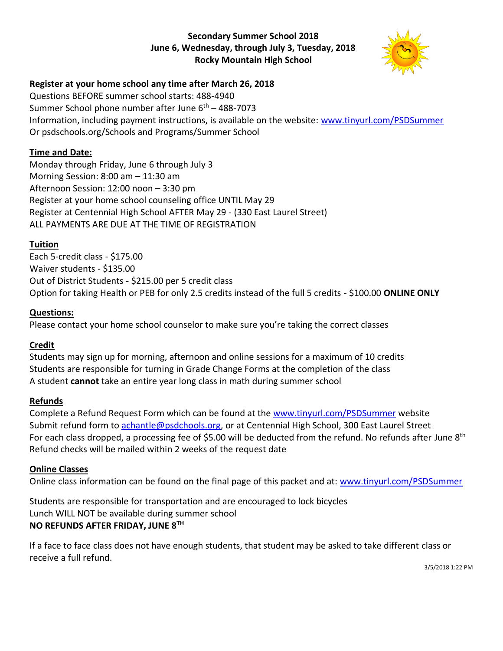### **Secondary Summer School 2018 June 6, Wednesday, through July 3, Tuesday, 2018 Rocky Mountain High School**



## **Register at your home school any time after March 26, 2018**

Questions BEFORE summer school starts: 488-4940 Summer School phone number after June  $6<sup>th</sup> - 488-7073$ Information, including payment instructions, is available on the website: www.tinyurl.com/PSDSummer Or psdschools.org/Schools and Programs/Summer School

## **Time and Date:**

Monday through Friday, June 6 through July 3 Morning Session: 8:00 am – 11:30 am Afternoon Session: 12:00 noon – 3:30 pm Register at your home school counseling office UNTIL May 29 Register at Centennial High School AFTER May 29 - (330 East Laurel Street) ALL PAYMENTS ARE DUE AT THE TIME OF REGISTRATION

## **Tuition**

Each 5-credit class - \$175.00 Waiver students - \$135.00 Out of District Students - \$215.00 per 5 credit class Option for taking Health or PEB for only 2.5 credits instead of the full 5 credits - \$100.00 **ONLINE ONLY**

## **Questions:**

Please contact your home school counselor to make sure you're taking the correct classes

## **Credit**

Students may sign up for morning, afternoon and online sessions for a maximum of 10 credits Students are responsible for turning in Grade Change Forms at the completion of the class A student **cannot** take an entire year long class in math during summer school

## **Refunds**

Complete a Refund Request Form which can be found at the www.tinyurl.com/PSDSummer website Submit refund form to achantle@psdchools.org, or at Centennial High School, 300 East Laurel Street For each class dropped, a processing fee of \$5.00 will be deducted from the refund. No refunds after June 8<sup>th</sup> Refund checks will be mailed within 2 weeks of the request date

## **Online Classes**

Online class information can be found on the final page of this packet and at: www.tinyurl.com/PSDSummer

Students are responsible for transportation and are encouraged to lock bicycles Lunch WILL NOT be available during summer school **NO REFUNDS AFTER FRIDAY, JUNE 8TH**

If a face to face class does not have enough students, that student may be asked to take different class or receive a full refund.

3/5/2018 1:22 PM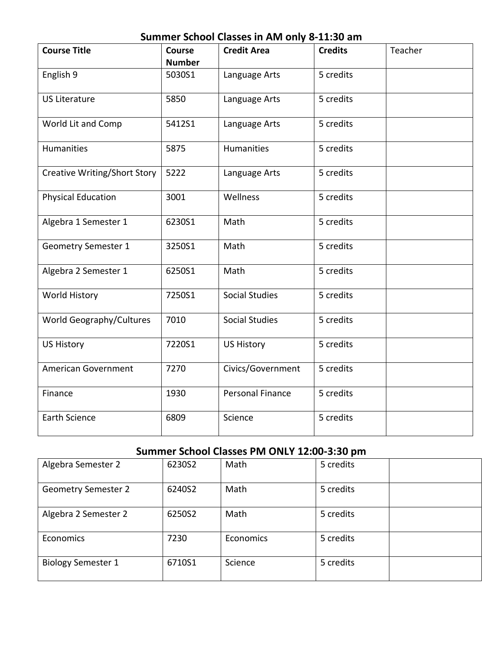## **Summer School Classes in AM only 8-11:30 am**

| <b>Course Title</b>                 | <b>Course</b> | <b>Credit Area</b>      | <b>Credits</b> | Teacher |
|-------------------------------------|---------------|-------------------------|----------------|---------|
|                                     | <b>Number</b> |                         |                |         |
| English 9                           | 5030S1        | Language Arts           | 5 credits      |         |
| <b>US Literature</b>                | 5850          | Language Arts           | 5 credits      |         |
| World Lit and Comp                  | 5412S1        | Language Arts           | 5 credits      |         |
| Humanities                          | 5875          | Humanities              | 5 credits      |         |
| <b>Creative Writing/Short Story</b> | 5222          | Language Arts           | 5 credits      |         |
| <b>Physical Education</b>           | 3001          | Wellness                | 5 credits      |         |
| Algebra 1 Semester 1                | 6230S1        | Math                    | 5 credits      |         |
| <b>Geometry Semester 1</b>          | 3250S1        | Math                    | 5 credits      |         |
| Algebra 2 Semester 1                | 6250S1        | Math                    | 5 credits      |         |
| <b>World History</b>                | 7250S1        | <b>Social Studies</b>   | 5 credits      |         |
| World Geography/Cultures            | 7010          | <b>Social Studies</b>   | 5 credits      |         |
| <b>US History</b>                   | 7220S1        | <b>US History</b>       | 5 credits      |         |
| American Government                 | 7270          | Civics/Government       | 5 credits      |         |
| Finance                             | 1930          | <b>Personal Finance</b> | 5 credits      |         |
| <b>Earth Science</b>                | 6809          | Science                 | 5 credits      |         |

## **Summer School Classes PM ONLY 12:00-3:30 pm**

| Algebra Semester 2         | 6230S2 | Math      | 5 credits |  |
|----------------------------|--------|-----------|-----------|--|
|                            |        |           |           |  |
|                            |        |           |           |  |
| <b>Geometry Semester 2</b> | 6240S2 | Math      | 5 credits |  |
|                            |        |           |           |  |
|                            |        |           |           |  |
|                            | 6250S2 | Math      | 5 credits |  |
| Algebra 2 Semester 2       |        |           |           |  |
|                            |        |           |           |  |
| Economics                  | 7230   | Economics | 5 credits |  |
|                            |        |           |           |  |
|                            |        |           |           |  |
| <b>Biology Semester 1</b>  | 6710S1 | Science   | 5 credits |  |
|                            |        |           |           |  |
|                            |        |           |           |  |
|                            |        |           |           |  |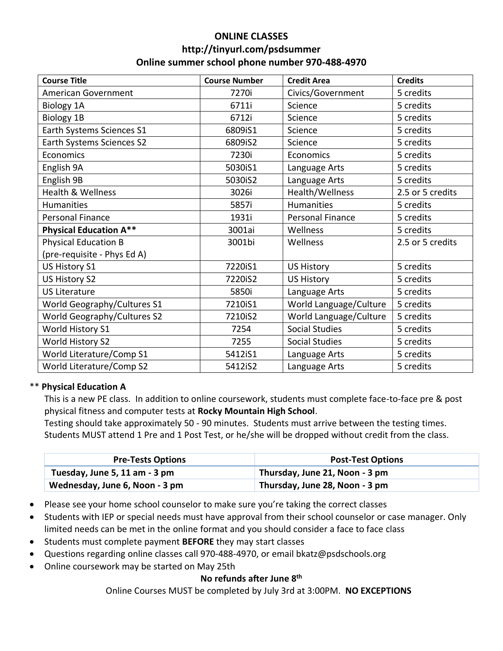## **ONLINE CLASSES http://tinyurl.com/psdsummer Online summer school phone number 970-488-4970**

| <b>Course Title</b>                | <b>Course Number</b> | <b>Credit Area</b>      | <b>Credits</b>   |
|------------------------------------|----------------------|-------------------------|------------------|
| American Government                | 7270i                | Civics/Government       | 5 credits        |
| <b>Biology 1A</b>                  | 6711i                | Science                 | 5 credits        |
| <b>Biology 1B</b>                  | 6712i                | Science                 | 5 credits        |
| Earth Systems Sciences S1          | 6809iS1              | Science                 | 5 credits        |
| Earth Systems Sciences S2          | 6809iS2              | Science                 | 5 credits        |
| Economics                          | 7230i                | Economics               | 5 credits        |
| English 9A                         | 5030iS1              | Language Arts           | 5 credits        |
| English 9B                         | 5030iS2              | Language Arts           | 5 credits        |
| <b>Health &amp; Wellness</b>       | 3026i                | Health/Wellness         | 2.5 or 5 credits |
| Humanities                         | 5857i                | <b>Humanities</b>       | 5 credits        |
| <b>Personal Finance</b>            | 1931i                | <b>Personal Finance</b> | 5 credits        |
| <b>Physical Education A**</b>      | 3001ai               | Wellness                | 5 credits        |
| <b>Physical Education B</b>        | 3001bi               | Wellness                | 2.5 or 5 credits |
| (pre-requisite - Phys Ed A)        |                      |                         |                  |
| US History S1                      | 7220iS1              | <b>US History</b>       | 5 credits        |
| US History S2                      | 7220iS2              | <b>US History</b>       | 5 credits        |
| <b>US Literature</b>               | 5850i                | Language Arts           | 5 credits        |
| <b>World Geography/Cultures S1</b> | 7210iS1              | World Language/Culture  | 5 credits        |
| <b>World Geography/Cultures S2</b> | 7210iS2              | World Language/Culture  | 5 credits        |
| World History S1                   | 7254                 | <b>Social Studies</b>   | 5 credits        |
| World History S2                   | 7255                 | <b>Social Studies</b>   | 5 credits        |
| World Literature/Comp S1           | 5412iS1              | Language Arts           | 5 credits        |
| World Literature/Comp S2           | 5412iS2              | Language Arts           | 5 credits        |

### \*\* **Physical Education A**

This is a new PE class. In addition to online coursework, students must complete face-to-face pre & post physical fitness and computer tests at **Rocky Mountain High School**.

Testing should take approximately 50 - 90 minutes. Students must arrive between the testing times. Students MUST attend 1 Pre and 1 Post Test, or he/she will be dropped without credit from the class.

| <b>Pre-Tests Options</b>       | <b>Post-Test Options</b>       |
|--------------------------------|--------------------------------|
| Tuesday, June 5, 11 am - 3 pm  | Thursday, June 21, Noon - 3 pm |
| Wednesday, June 6, Noon - 3 pm | Thursday, June 28, Noon - 3 pm |

- Please see your home school counselor to make sure you're taking the correct classes
- Students with IEP or special needs must have approval from their school counselor or case manager. Only limited needs can be met in the online format and you should consider a face to face class
- Students must complete payment **BEFORE** they may start classes
- Questions regarding online classes call 970-488-4970, or email bkatz@psdschools.org
- Online coursework may be started on May 25th

### **No refunds after June 8th**

Online Courses MUST be completed by July 3rd at 3:00PM. **NO EXCEPTIONS**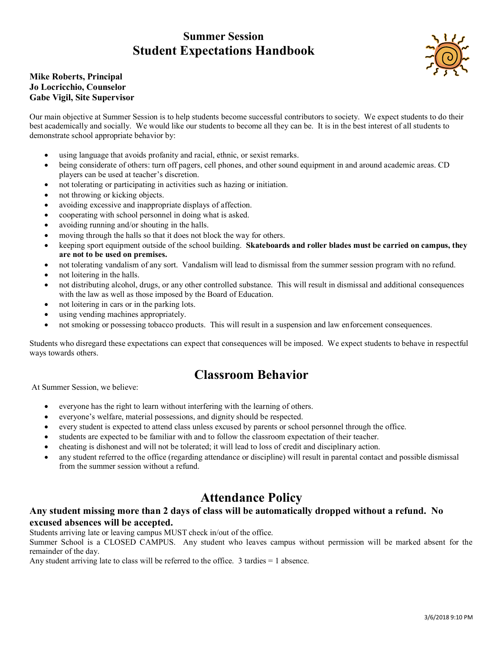## **Summer Session Student Expectations Handbook**



#### **Mike Roberts, Principal Jo Locricchio, Counselor Gabe Vigil, Site Supervisor**

Our main objective at Summer Session is to help students become successful contributors to society. We expect students to do their best academically and socially. We would like our students to become all they can be. It is in the best interest of all students to demonstrate school appropriate behavior by:

- using language that avoids profanity and racial, ethnic, or sexist remarks.
- being considerate of others: turn off pagers, cell phones, and other sound equipment in and around academic areas. CD players can be used at teacher's discretion.
- not tolerating or participating in activities such as hazing or initiation.
- not throwing or kicking objects.
- avoiding excessive and inappropriate displays of affection.
- cooperating with school personnel in doing what is asked.
- avoiding running and/or shouting in the halls.
- moving through the halls so that it does not block the way for others.
- keeping sport equipment outside of the school building. **Skateboards and roller blades must be carried on campus, they are not to be used on premises.**
- not tolerating vandalism of any sort. Vandalism will lead to dismissal from the summer session program with no refund.
- not loitering in the halls.
- not distributing alcohol, drugs, or any other controlled substance. This will result in dismissal and additional consequences with the law as well as those imposed by the Board of Education.
- not loitering in cars or in the parking lots.
- using vending machines appropriately.
- not smoking or possessing tobacco products. This will result in a suspension and law enforcement consequences.

Students who disregard these expectations can expect that consequences will be imposed. We expect students to behave in respectful ways towards others.

## **Classroom Behavior**

At Summer Session, we believe:

- everyone has the right to learn without interfering with the learning of others.
- everyone's welfare, material possessions, and dignity should be respected.
- every student is expected to attend class unless excused by parents or school personnel through the office.
- students are expected to be familiar with and to follow the classroom expectation of their teacher.
- cheating is dishonest and will not be tolerated; it will lead to loss of credit and disciplinary action.
- any student referred to the office (regarding attendance or discipline) will result in parental contact and possible dismissal from the summer session without a refund.

## **Attendance Policy**

### **Any student missing more than 2 days of class will be automatically dropped without a refund. No excused absences will be accepted.**

Students arriving late or leaving campus MUST check in/out of the office.

Summer School is a CLOSED CAMPUS. Any student who leaves campus without permission will be marked absent for the remainder of the day.

Any student arriving late to class will be referred to the office. 3 tardies = 1 absence.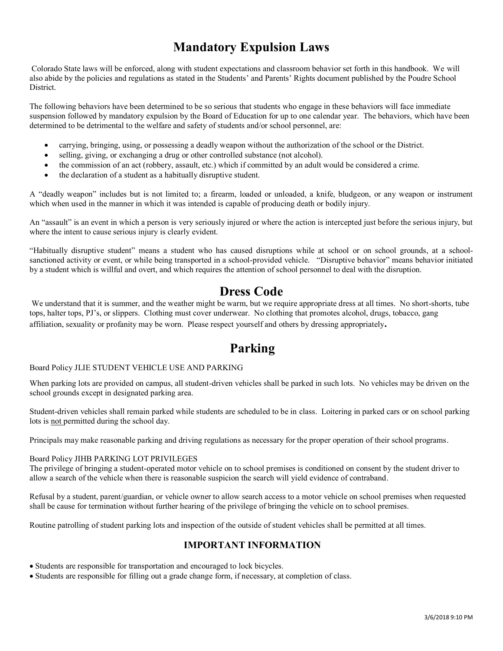# **Mandatory Expulsion Laws**

Colorado State laws will be enforced, along with student expectations and classroom behavior set forth in this handbook. We will also abide by the policies and regulations as stated in the Students' and Parents' Rights document published by the Poudre School District.

The following behaviors have been determined to be so serious that students who engage in these behaviors will face immediate suspension followed by mandatory expulsion by the Board of Education for up to one calendar year. The behaviors, which have been determined to be detrimental to the welfare and safety of students and/or school personnel, are:

- carrying, bringing, using, or possessing a deadly weapon without the authorization of the school or the District.
- selling, giving, or exchanging a drug or other controlled substance (not alcohol).
- the commission of an act (robbery, assault, etc.) which if committed by an adult would be considered a crime.
- the declaration of a student as a habitually disruptive student.

A "deadly weapon" includes but is not limited to; a firearm, loaded or unloaded, a knife, bludgeon, or any weapon or instrument which when used in the manner in which it was intended is capable of producing death or bodily injury.

An "assault" is an event in which a person is very seriously injured or where the action is intercepted just before the serious injury, but where the intent to cause serious injury is clearly evident.

"Habitually disruptive student" means a student who has caused disruptions while at school or on school grounds, at a schoolsanctioned activity or event, or while being transported in a school-provided vehicle. "Disruptive behavior" means behavior initiated by a student which is willful and overt, and which requires the attention of school personnel to deal with the disruption.

## **Dress Code**

We understand that it is summer, and the weather might be warm, but we require appropriate dress at all times. No short-shorts, tube tops, halter tops, PJ's, or slippers. Clothing must cover underwear. No clothing that promotes alcohol, drugs, tobacco, gang affiliation, sexuality or profanity may be worn. Please respect yourself and others by dressing appropriately**.**

# **Parking**

#### Board Policy JLIE STUDENT VEHICLE USE AND PARKING

When parking lots are provided on campus, all student-driven vehicles shall be parked in such lots. No vehicles may be driven on the school grounds except in designated parking area.

Student-driven vehicles shall remain parked while students are scheduled to be in class. Loitering in parked cars or on school parking lots is not permitted during the school day.

Principals may make reasonable parking and driving regulations as necessary for the proper operation of their school programs.

#### Board Policy JIHB PARKING LOT PRIVILEGES

The privilege of bringing a student-operated motor vehicle on to school premises is conditioned on consent by the student driver to allow a search of the vehicle when there is reasonable suspicion the search will yield evidence of contraband.

Refusal by a student, parent/guardian, or vehicle owner to allow search access to a motor vehicle on school premises when requested shall be cause for termination without further hearing of the privilege of bringing the vehicle on to school premises.

Routine patrolling of student parking lots and inspection of the outside of student vehicles shall be permitted at all times.

### **IMPORTANT INFORMATION**

- Students are responsible for transportation and encouraged to lock bicycles.
- Students are responsible for filling out a grade change form, if necessary, at completion of class.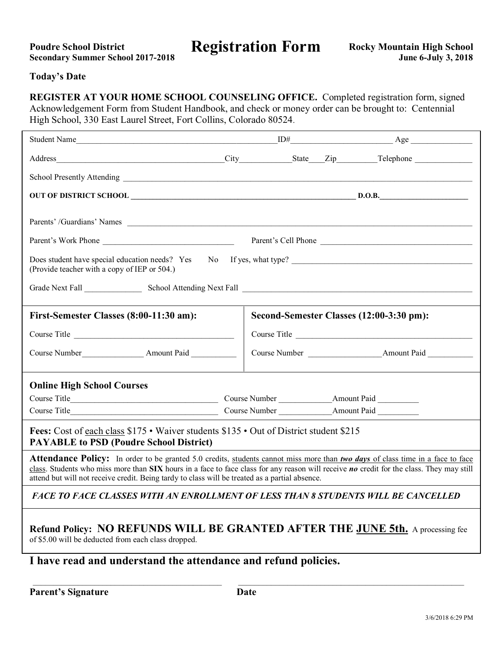| <b>Poudre School District</b>            |
|------------------------------------------|
| <b>Secondary Summer School 2017-2018</b> |

Poudre School District **Registration Form** Rocky Mountain High School

#### **Today's Date**

**REGISTER AT YOUR HOME SCHOOL COUNSELING OFFICE.** Completed registration form, signed Acknowledgement Form from Student Handbook, and check or money order can be brought to: Centennial High School, 330 East Laurel Street, Fort Collins, Colorado 80524.

| Parents' /Guardians' Names                                                                                                                                                                                                                                                                                                                                                                   |                                          |  |              |  |
|----------------------------------------------------------------------------------------------------------------------------------------------------------------------------------------------------------------------------------------------------------------------------------------------------------------------------------------------------------------------------------------------|------------------------------------------|--|--------------|--|
|                                                                                                                                                                                                                                                                                                                                                                                              |                                          |  |              |  |
| (Provide teacher with a copy of IEP or 504.)                                                                                                                                                                                                                                                                                                                                                 |                                          |  |              |  |
|                                                                                                                                                                                                                                                                                                                                                                                              |                                          |  |              |  |
| First-Semester Classes (8:00-11:30 am):                                                                                                                                                                                                                                                                                                                                                      | Second-Semester Classes (12:00-3:30 pm): |  |              |  |
| Course Title                                                                                                                                                                                                                                                                                                                                                                                 |                                          |  | Course Title |  |
|                                                                                                                                                                                                                                                                                                                                                                                              |                                          |  |              |  |
| <b>Online High School Courses</b>                                                                                                                                                                                                                                                                                                                                                            |                                          |  |              |  |
|                                                                                                                                                                                                                                                                                                                                                                                              |                                          |  |              |  |
|                                                                                                                                                                                                                                                                                                                                                                                              |                                          |  |              |  |
| Fees: Cost of each class \$175 • Waiver students \$135 • Out of District student \$215<br><b>PAYABLE to PSD (Poudre School District)</b>                                                                                                                                                                                                                                                     |                                          |  |              |  |
| <b>Attendance Policy:</b> In order to be granted 5.0 credits, students cannot miss more than two days of class time in a face to face<br>class. Students who miss more than $SIX$ hours in a face to face class for any reason will receive <i>no</i> credit for the class. They may still<br>attend but will not receive credit. Being tardy to class will be treated as a partial absence. |                                          |  |              |  |
| <b>FACE TO FACE CLASSES WITH AN ENROLLMENT OF LESS THAN 8 STUDENTS WILL BE CANCELLED</b>                                                                                                                                                                                                                                                                                                     |                                          |  |              |  |
| Refund Policy: NO REFUNDS WILL BE GRANTED AFTER THE JUNE 5th. A processing fee<br>of \$5.00 will be deducted from each class dropped.                                                                                                                                                                                                                                                        |                                          |  |              |  |
| I have read and understand the attendance and refund policies.                                                                                                                                                                                                                                                                                                                               |                                          |  |              |  |